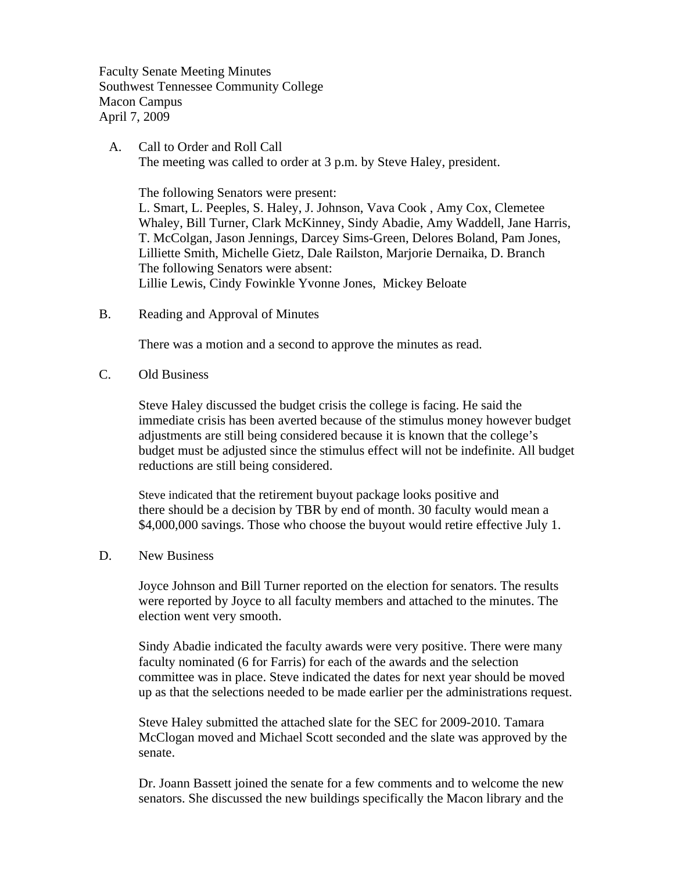Faculty Senate Meeting Minutes Southwest Tennessee Community College Macon Campus April 7, 2009

 A. Call to Order and Roll Call The meeting was called to order at 3 p.m. by Steve Haley, president.

The following Senators were present:

L. Smart, L. Peeples, S. Haley, J. Johnson, Vava Cook , Amy Cox, Clemetee Whaley, Bill Turner, Clark McKinney, Sindy Abadie, Amy Waddell, Jane Harris, T. McColgan, Jason Jennings, Darcey Sims-Green, Delores Boland, Pam Jones, Lilliette Smith, Michelle Gietz, Dale Railston, Marjorie Dernaika, D. Branch The following Senators were absent: Lillie Lewis, Cindy Fowinkle Yvonne Jones, Mickey Beloate

B. Reading and Approval of Minutes

There was a motion and a second to approve the minutes as read.

C. Old Business

Steve Haley discussed the budget crisis the college is facing. He said the immediate crisis has been averted because of the stimulus money however budget adjustments are still being considered because it is known that the college's budget must be adjusted since the stimulus effect will not be indefinite. All budget reductions are still being considered.

Steve indicated that the retirement buyout package looks positive and there should be a decision by TBR by end of month. 30 faculty would mean a \$4,000,000 savings. Those who choose the buyout would retire effective July 1.

#### D. New Business

Joyce Johnson and Bill Turner reported on the election for senators. The results were reported by Joyce to all faculty members and attached to the minutes. The election went very smooth.

Sindy Abadie indicated the faculty awards were very positive. There were many faculty nominated (6 for Farris) for each of the awards and the selection committee was in place. Steve indicated the dates for next year should be moved up as that the selections needed to be made earlier per the administrations request.

Steve Haley submitted the attached slate for the SEC for 2009-2010. Tamara McClogan moved and Michael Scott seconded and the slate was approved by the senate.

Dr. Joann Bassett joined the senate for a few comments and to welcome the new senators. She discussed the new buildings specifically the Macon library and the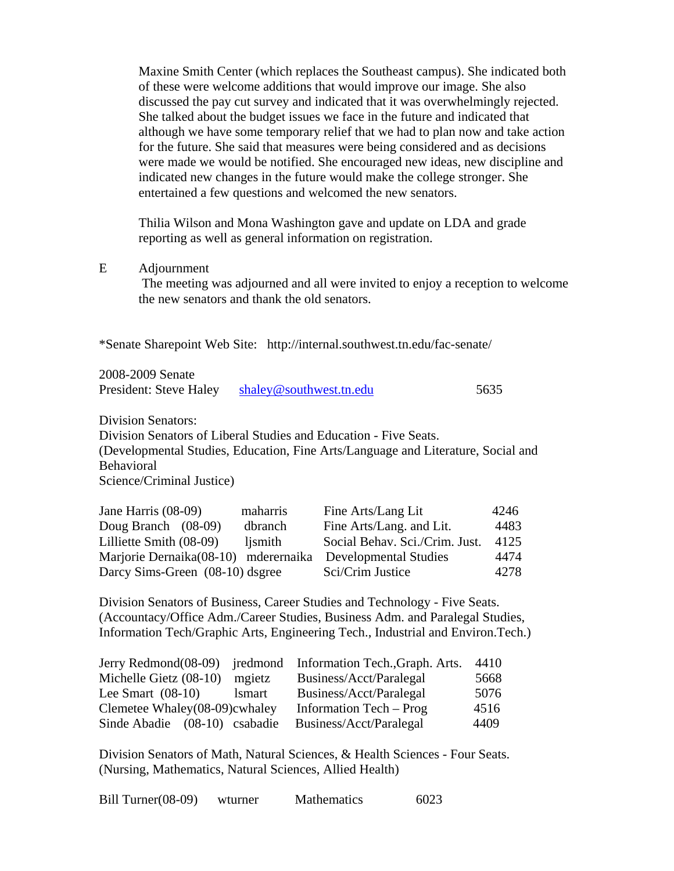Maxine Smith Center (which replaces the Southeast campus). She indicated both of these were welcome additions that would improve our image. She also discussed the pay cut survey and indicated that it was overwhelmingly rejected. She talked about the budget issues we face in the future and indicated that although we have some temporary relief that we had to plan now and take action for the future. She said that measures were being considered and as decisions were made we would be notified. She encouraged new ideas, new discipline and indicated new changes in the future would make the college stronger. She entertained a few questions and welcomed the new senators.

Thilia Wilson and Mona Washington gave and update on LDA and grade reporting as well as general information on registration.

#### E Adjournment

The meeting was adjourned and all were invited to enjoy a reception to welcome the new senators and thank the old senators.

\*Senate Sharepoint Web Site: http://internal.southwest.tn.edu/fac-senate/

2008-2009 Senate

| President: Steve Haley | shaley@southwest.tn.edu | 5635 |
|------------------------|-------------------------|------|
|------------------------|-------------------------|------|

Division Senators:

Division Senators of Liberal Studies and Education - Five Seats. (Developmental Studies, Education, Fine Arts/Language and Literature, Social and Behavioral Science/Criminal Justice)

Jane Harris (08-09) maharris Fine Arts/Lang Lit 4246 Doug Branch (08-09) dbranch Fine Arts/Lang. and Lit. 4483 Lilliette Smith (08-09) ljsmith Social Behav. Sci./Crim. Just. 4125 Marjorie Dernaika(08-10) mderernaika Developmental Studies 4474 Darcy Sims-Green (08-10) dsgree Sci/Crim Justice 4278

Division Senators of Business, Career Studies and Technology - Five Seats. (Accountacy/Office Adm./Career Studies, Business Adm. and Paralegal Studies, Information Tech/Graphic Arts, Engineering Tech., Industrial and Environ.Tech.)

|                               |               | Jerry Redmond(08-09) jredmond Information Tech., Graph. Arts. | 4410 |
|-------------------------------|---------------|---------------------------------------------------------------|------|
| Michelle Gietz (08-10)        | mgietz        | Business/Acct/Paralegal                                       | 5668 |
| Lee Smart $(08-10)$           | <i>lsmart</i> | Business/Acct/Paralegal                                       | 5076 |
| Clemetee Whaley(08-09)cwhaley |               | Information Tech – Prog                                       | 4516 |
| Sinde Abadie (08-10) csabadie |               | Business/Acct/Paralegal                                       | 4409 |

Division Senators of Math, Natural Sciences, & Health Sciences - Four Seats. (Nursing, Mathematics, Natural Sciences, Allied Health)

| Bill Turner $(08-09)$ | wturner | <b>Mathematics</b> | 6023 |
|-----------------------|---------|--------------------|------|
|-----------------------|---------|--------------------|------|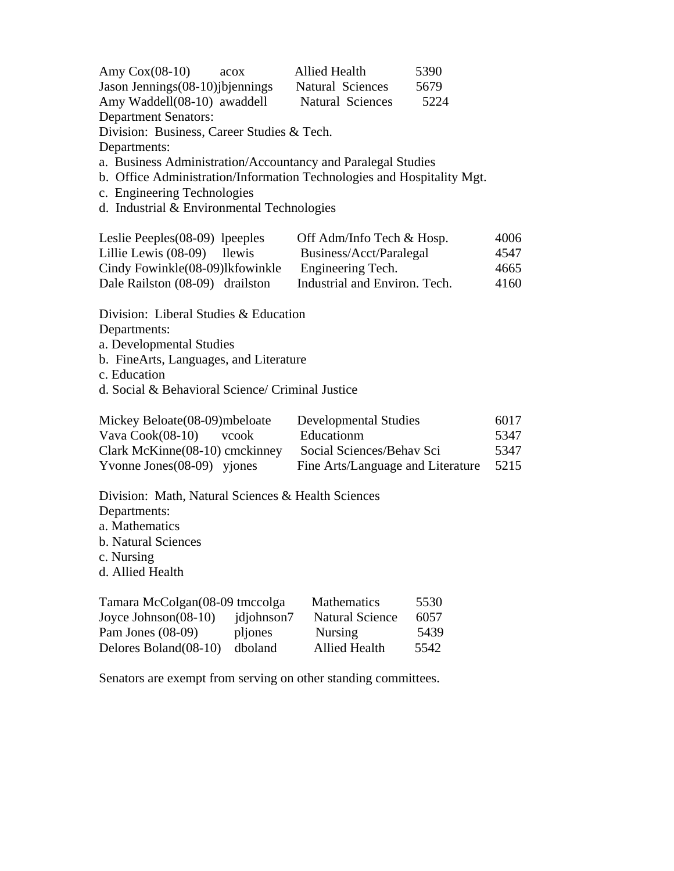| Amy $Cox(08-10)$<br>acox                   | <b>Allied Health</b>                                                   | 5390 |
|--------------------------------------------|------------------------------------------------------------------------|------|
| Jason Jennings (08-10) j bjennings         | <b>Natural Sciences</b>                                                | 5679 |
| Amy Waddell(08-10) awaddell                | <b>Natural Sciences</b>                                                | 5224 |
| <b>Department Senators:</b>                |                                                                        |      |
| Division: Business, Career Studies & Tech. |                                                                        |      |
| Departments:                               |                                                                        |      |
|                                            | a. Business Administration/Accountancy and Paralegal Studies           |      |
|                                            | b. Office Administration/Information Technologies and Hospitality Mgt. |      |
| c. Engineering Technologies                |                                                                        |      |
| d. Industrial & Environmental Technologies |                                                                        |      |
| Leslie Peeples(08-09) lpeeples             | Off Adm/Info Tech & Hosp.                                              | 4006 |
| Lillie Lewis (08-09) llewis                | Business/Acct/Paralegal                                                | 4547 |
| Cindy Fowinkle(08-09)lkfowinkle            | Engineering Tech.                                                      | 4665 |
| Dale Railston (08-09) drailston            | Industrial and Environ. Tech.                                          | 4160 |
| Division: Liberal Studies & Education      |                                                                        |      |

Departments:

a. Developmental Studies

b. FineArts, Languages, and Literature

c. Education

d. Social & Behavioral Science/ Criminal Justice

| Mickey Beloate (08-09) mbeloate | Developmental Studies             | 6017 |
|---------------------------------|-----------------------------------|------|
| Vava $Cook(08-10)$ vcook        | Educationm                        | 5347 |
| Clark McKinne(08-10) cmckinney  | Social Sciences/Behav Sci         | 5347 |
| Yvonne Jones $(08-09)$ yjones   | Fine Arts/Language and Literature | 5215 |

Division: Math, Natural Sciences & Health Sciences Departments: a. Mathematics b. Natural Sciences

c. Nursing

d. Allied Health

| Tamara McColgan(08-09 tmccolga |            | <b>Mathematics</b>     | 5530 |
|--------------------------------|------------|------------------------|------|
| Joyce Johnson $(08-10)$        | jdjohnson7 | <b>Natural Science</b> | 6057 |
| Pam Jones $(08-09)$            | pliones    | <b>Nursing</b>         | 5439 |
| Delores Boland(08-10)          | dboland    | <b>Allied Health</b>   | 5542 |

Senators are exempt from serving on other standing committees.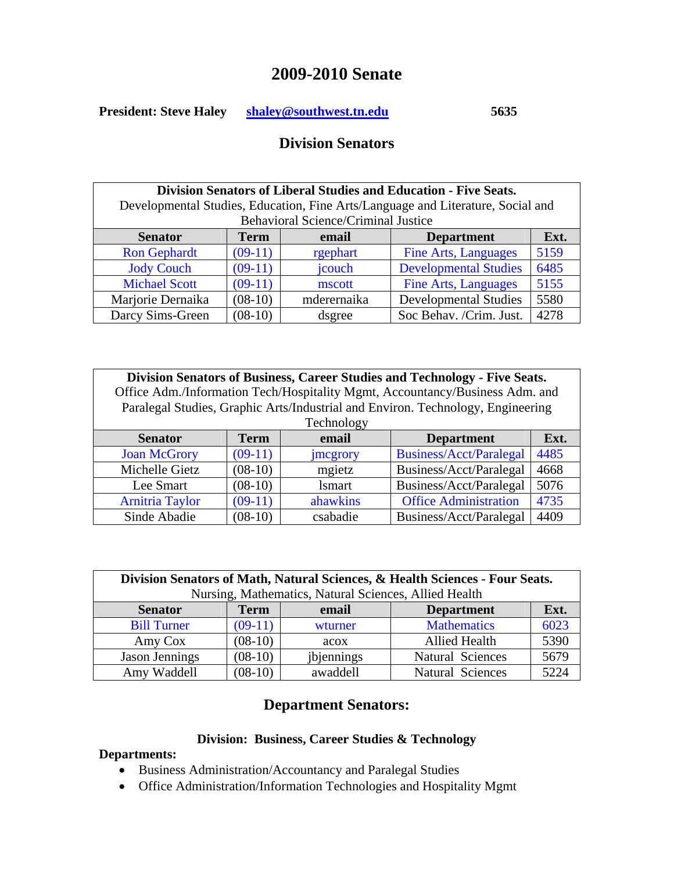# **2009-2010 Senate**

**President: Steve Haley [shaley@southwest.tn.edu](mailto:shaley@southwest.tn.edu) 5635** 

## **Division Senators**

| Division Senators of Liberal Studies and Education - Five Seats. |             |                                            |                                                                                 |      |
|------------------------------------------------------------------|-------------|--------------------------------------------|---------------------------------------------------------------------------------|------|
|                                                                  |             |                                            | Developmental Studies, Education, Fine Arts/Language and Literature, Social and |      |
|                                                                  |             | <b>Behavioral Science/Criminal Justice</b> |                                                                                 |      |
| <b>Senator</b>                                                   | <b>Term</b> | email                                      | <b>Department</b>                                                               | Ext. |
| <b>Ron Gephardt</b>                                              | $(09-11)$   | rgephart                                   | <b>Fine Arts, Languages</b>                                                     | 5159 |
| <b>Jody Couch</b>                                                | $(09-11)$   | jcouch                                     | <b>Developmental Studies</b>                                                    | 6485 |
| <b>Michael Scott</b>                                             | $(09-11)$   | mscott                                     | <b>Fine Arts, Languages</b>                                                     | 5155 |
| Marjorie Dernaika                                                | $(08-10)$   | mderernaika                                | <b>Developmental Studies</b>                                                    | 5580 |
| Darcy Sims-Green                                                 | $(08-10)$   | dsgree                                     | Soc Behav. /Crim. Just.                                                         | 4278 |

| Division Senators of Business, Career Studies and Technology - Five Seats.<br>Office Adm./Information Tech/Hospitality Mgmt, Accountancy/Business Adm. and<br>Paralegal Studies, Graphic Arts/Industrial and Environ. Technology, Engineering |           |            |                                |      |  |
|-----------------------------------------------------------------------------------------------------------------------------------------------------------------------------------------------------------------------------------------------|-----------|------------|--------------------------------|------|--|
|                                                                                                                                                                                                                                               |           | Technology |                                |      |  |
| <b>Term</b><br>Ext.<br>email<br><b>Department</b><br><b>Senator</b>                                                                                                                                                                           |           |            |                                |      |  |
| <b>Joan McGrory</b>                                                                                                                                                                                                                           | $(09-11)$ | jmcgrory   | <b>Business/Acct/Paralegal</b> | 4485 |  |
| Michelle Gietz                                                                                                                                                                                                                                | $(08-10)$ | mgietz     | Business/Acct/Paralegal        | 4668 |  |
| Lee Smart                                                                                                                                                                                                                                     | $(08-10)$ | lsmart     | Business/Acct/Paralegal        | 5076 |  |
| <b>Arnitria Taylor</b>                                                                                                                                                                                                                        | $(09-11)$ | ahawkins   | <b>Office Administration</b>   | 4735 |  |
| Sinde Abadie                                                                                                                                                                                                                                  | $(08-10)$ | csabadie   | Business/Acct/Paralegal        | 4409 |  |

| Division Senators of Math, Natural Sciences, & Health Sciences - Four Seats. |           |                                                       |                         |      |  |
|------------------------------------------------------------------------------|-----------|-------------------------------------------------------|-------------------------|------|--|
|                                                                              |           | Nursing, Mathematics, Natural Sciences, Allied Health |                         |      |  |
| Ext.<br><b>Department</b><br>email<br><b>Senator</b><br><b>Term</b>          |           |                                                       |                         |      |  |
| <b>Bill Turner</b>                                                           | $(09-11)$ | wturner                                               | <b>Mathematics</b>      | 6023 |  |
| Amy Cox                                                                      | $(08-10)$ | acox                                                  | <b>Allied Health</b>    | 5390 |  |
| <b>Jason Jennings</b>                                                        | $(08-10)$ | jbjennings                                            | <b>Natural Sciences</b> | 5679 |  |
| Amy Waddell                                                                  | $(08-10)$ | awaddell                                              | <b>Natural Sciences</b> | 5224 |  |

# **Department Senators:**

## **Division: Business, Career Studies & Technology**

### **Departments:**

- Business Administration/Accountancy and Paralegal Studies
- Office Administration/Information Technologies and Hospitality Mgmt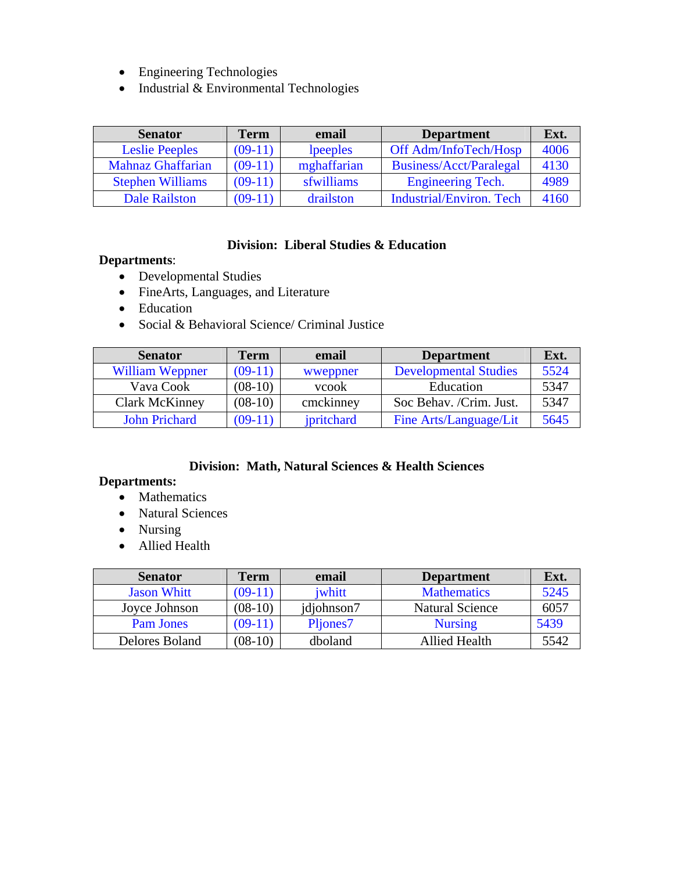- Engineering Technologies
- Industrial & Environmental Technologies

| <b>Senator</b>           | <b>Term</b> | email       | <b>Department</b>               | Ext. |
|--------------------------|-------------|-------------|---------------------------------|------|
| <b>Leslie Peeples</b>    | $(09-11)$   | lpeeples    | Off Adm/InfoTech/Hosp           | 4006 |
| <b>Mahnaz Ghaffarian</b> | $(09-11)$   | mghaffarian | Business/Acct/Paralegal         | 4130 |
| <b>Stephen Williams</b>  | $(09-11)$   | sfwilliams  | <b>Engineering Tech.</b>        | 4989 |
| <b>Dale Railston</b>     | $(09-11)$   | drailston   | <b>Industrial/Environ. Tech</b> | 4160 |

### **Division: Liberal Studies & Education**

#### **Departments**:

- Developmental Studies
- FineArts, Languages, and Literature
- Education
- Social & Behavioral Science/ Criminal Justice

| <b>Senator</b>         | <b>Term</b> | email      | <b>Department</b>            | Ext. |
|------------------------|-------------|------------|------------------------------|------|
| <b>William Weppner</b> | $(09-11)$   | wweppner   | <b>Developmental Studies</b> | 5524 |
| Vava Cook              | $(08-10)$   | vcook      | Education                    | 5347 |
| <b>Clark McKinney</b>  | $(08-10)$   | cmckinney  | Soc Behav. /Crim. Just.      | 5347 |
| <b>John Prichard</b>   | $(09-11)$   | jpritchard | Fine Arts/Language/Lit       | 5645 |

## **Division: Math, Natural Sciences & Health Sciences**

#### **Departments:**

- Mathematics
- Natural Sciences
- Nursing
- Allied Health

| <b>Senator</b>     | Term      | email      | <b>Department</b>      | Ext. |
|--------------------|-----------|------------|------------------------|------|
| <b>Jason Whitt</b> | $(09-11)$ | iwhitt     | <b>Mathematics</b>     | 5245 |
| Joyce Johnson      | $(08-10)$ | jdjohnson7 | <b>Natural Science</b> | 6057 |
| <b>Pam Jones</b>   | $(09-11)$ | Pljones7   | <b>Nursing</b>         | 5439 |
| Delores Boland     | $(08-10)$ | dboland    | Allied Health          | 5542 |